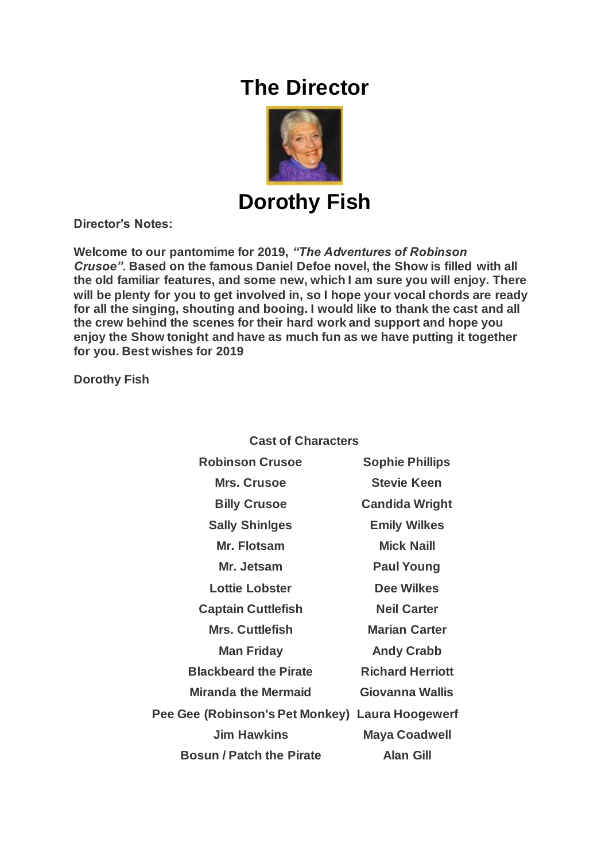## **The Director**



**Dorothy Fish**

**Director's Notes:**

**Welcome to our pantomime for 2019,** *"The Adventures of Robinson Crusoe".* **Based on the famous Daniel Defoe novel, the Show is filled with all the old familiar features, and some new, which I am sure you will enjoy. There will be plenty for you to get involved in, so I hope your vocal chords are ready for all the singing, shouting and booing. I would like to thank the cast and all the crew behind the scenes for their hard work and support and hope you enjoy the Show tonight and have as much fun as we have putting it together for you. Best wishes for 2019**

**Dorothy Fish**

**Cast of Characters**

| <b>Robinson Crusoe</b>                          | <b>Sophie Phillips</b>  |
|-------------------------------------------------|-------------------------|
| <b>Mrs. Crusoe</b>                              | <b>Stevie Keen</b>      |
| <b>Billy Crusoe</b>                             | <b>Candida Wright</b>   |
| <b>Sally Shiniges</b>                           | <b>Emily Wilkes</b>     |
| Mr. Flotsam                                     | <b>Mick Naill</b>       |
| Mr. Jetsam                                      | <b>Paul Young</b>       |
| <b>Lottie Lobster</b>                           | <b>Dee Wilkes</b>       |
| <b>Captain Cuttlefish</b>                       | <b>Neil Carter</b>      |
| <b>Mrs. Cuttlefish</b>                          | <b>Marian Carter</b>    |
| <b>Man Friday</b>                               | <b>Andy Crabb</b>       |
| <b>Blackbeard the Pirate</b>                    | <b>Richard Herriott</b> |
| <b>Miranda the Mermaid</b>                      | Giovanna Wallis         |
| Pee Gee (Robinson's Pet Monkey) Laura Hoogewerf |                         |
| <b>Jim Hawkins</b>                              | <b>Maya Coadwell</b>    |
| <b>Bosun / Patch the Pirate</b>                 | <b>Alan Gill</b>        |